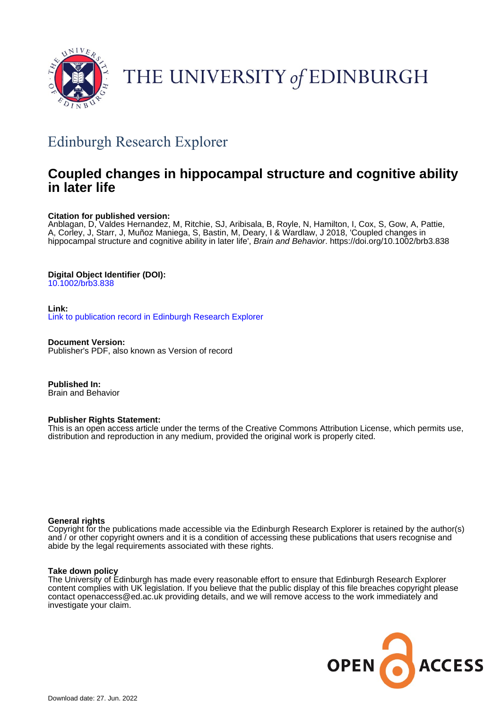

# THE UNIVERSITY of EDINBURGH

# Edinburgh Research Explorer

# **Coupled changes in hippocampal structure and cognitive ability in later life**

# **Citation for published version:**

Anblagan, D, Valdes Hernandez, M, Ritchie, SJ, Aribisala, B, Royle, N, Hamilton, I, Cox, S, Gow, A, Pattie, A, Corley, J, Starr, J, Muñoz Maniega, S, Bastin, M, Deary, I & Wardlaw, J 2018, 'Coupled changes in hippocampal structure and cognitive ability in later life', Brain and Behavior. <https://doi.org/10.1002/brb3.838>

# **Digital Object Identifier (DOI):**

[10.1002/brb3.838](https://doi.org/10.1002/brb3.838)

# **Link:**

[Link to publication record in Edinburgh Research Explorer](https://www.research.ed.ac.uk/en/publications/124df262-69b2-4703-a67b-7f2752951c1f)

**Document Version:** Publisher's PDF, also known as Version of record

**Published In:** Brain and Behavior

# **Publisher Rights Statement:**

This is an open access article under the terms of the Creative Commons Attribution License, which permits use, distribution and reproduction in any medium, provided the original work is properly cited.

# **General rights**

Copyright for the publications made accessible via the Edinburgh Research Explorer is retained by the author(s) and / or other copyright owners and it is a condition of accessing these publications that users recognise and abide by the legal requirements associated with these rights.

# **Take down policy**

The University of Edinburgh has made every reasonable effort to ensure that Edinburgh Research Explorer content complies with UK legislation. If you believe that the public display of this file breaches copyright please contact openaccess@ed.ac.uk providing details, and we will remove access to the work immediately and investigate your claim.

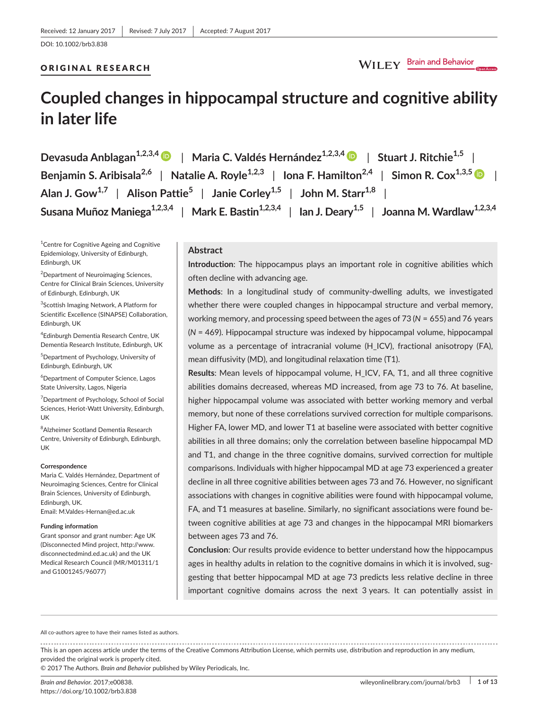### ORIGINAL RESEARCH

```
WILEY Brain and Behavior
```
# **Coupled changes in hippocampal structure and cognitive ability in later life**

**Devasuda Anblagan1,2,3,[4](http://orcid.org/0000-0003-3123-4638)** | **Maria C. Valdés Hernández1,2,3,[4](http://orcid.org/0000-0003-2771-6546)** | **Stuart J. Ritchie1,5** | **Benjamin S. Aribisala2,6** | **Natalie A. Royle1,2,3** | **Iona F. Hamilton2,4** | **Simon R. Cox1,3,[5](http://orcid.org/0000-0003-4036-3642)** | **Alan J. Gow1,7** | **Alison Pattie<sup>5</sup>** | **Janie Corley1,5** | **John M. Starr1,8** | **Susana Muñoz Maniega1,2,3,4** | **Mark E. Bastin1,2,3,4** | **Ian J. Deary1,5** | **Joanna M. Wardlaw1,2,3,4**

<sup>1</sup> Centre for Cognitive Ageing and Cognitive Epidemiology, University of Edinburgh, Edinburgh, UK

<sup>2</sup>Department of Neuroimaging Sciences, Centre for Clinical Brain Sciences, University of Edinburgh, Edinburgh, UK

3 Scottish Imaging Network, A Platform for Scientific Excellence (SINAPSE) Collaboration, Edinburgh, UK

4 Edinburgh Dementia Research Centre, UK Dementia Research Institute, Edinburgh, UK

5 Department of Psychology, University of Edinburgh, Edinburgh, UK

6 Department of Computer Science, Lagos State University, Lagos, Nigeria

<sup>7</sup>Department of Psychology, School of Social Sciences, Heriot-Watt University, Edinburgh, UK

 ${}^{8}$ Alzheimer Scotland Dementia Research Centre, University of Edinburgh, Edinburgh, UK

#### **Correspondence**

Maria C. Valdés Hernández, Department of Neuroimaging Sciences, Centre for Clinical Brain Sciences, University of Edinburgh, Edinburgh, UK. Email: [M.Valdes-Hernan@ed.ac.uk](mailto:M.Valdes-Hernan@ed.ac.uk)

#### **Funding information**

Grant sponsor and grant number: Age UK (Disconnected Mind project, [http://www.](http://www.disconnectedmind.ed.ac.uk) [disconnectedmind.ed.ac.uk\)](http://www.disconnectedmind.ed.ac.uk) and the UK Medical Research Council (MR/M01311/1 and G1001245/96077)

### **Abstract**

**Introduction**: The hippocampus plays an important role in cognitive abilities which often decline with advancing age.

**Methods**: In a longitudinal study of community-dwelling adults, we investigated whether there were coupled changes in hippocampal structure and verbal memory, working memory, and processing speed between the ages of 73 (*N* = 655) and 76 years (*N* = 469). Hippocampal structure was indexed by hippocampal volume, hippocampal volume as a percentage of intracranial volume (H\_ICV), fractional anisotropy (FA), mean diffusivity (MD), and longitudinal relaxation time (T1).

**Results**: Mean levels of hippocampal volume, H\_ICV, FA, T1, and all three cognitive abilities domains decreased, whereas MD increased, from age 73 to 76. At baseline, higher hippocampal volume was associated with better working memory and verbal memory, but none of these correlations survived correction for multiple comparisons. Higher FA, lower MD, and lower T1 at baseline were associated with better cognitive abilities in all three domains; only the correlation between baseline hippocampal MD and T1, and change in the three cognitive domains, survived correction for multiple comparisons. Individuals with higher hippocampal MD at age 73 experienced a greater decline in all three cognitive abilities between ages 73 and 76. However, no significant associations with changes in cognitive abilities were found with hippocampal volume, FA, and T1 measures at baseline. Similarly, no significant associations were found between cognitive abilities at age 73 and changes in the hippocampal MRI biomarkers between ages 73 and 76.

**Conclusion**: Our results provide evidence to better understand how the hippocampus ages in healthy adults in relation to the cognitive domains in which it is involved, suggesting that better hippocampal MD at age 73 predicts less relative decline in three important cognitive domains across the next 3 years. It can potentially assist in

All co-authors agree to have their names listed as authors.

This is an open access article under the terms of the Creative Commons [Attribution](http://creativecommons.org/licenses/by/4.0/) License, which permits use, distribution and reproduction in any medium, provided the original work is properly cited.

© 2017 The Authors. *Brain and Behavior* published by Wiley Periodicals, Inc.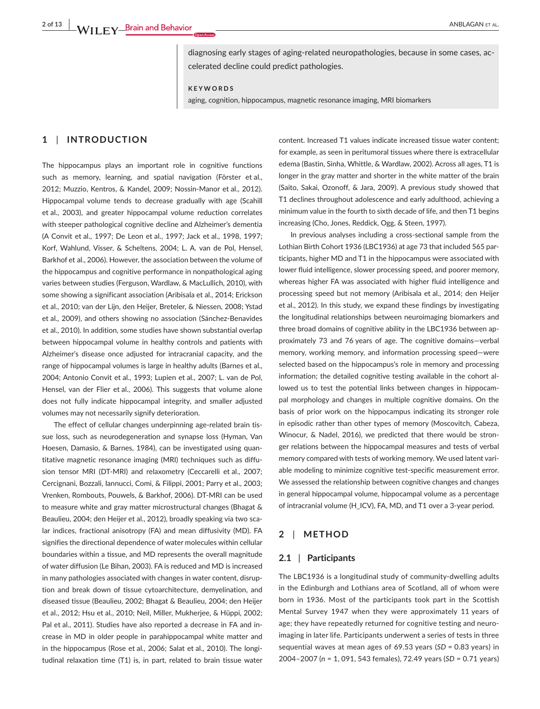diagnosing early stages of aging-related neuropathologies, because in some cases, accelerated decline could predict pathologies.

**KEYWORDS**

aging, cognition, hippocampus, magnetic resonance imaging, MRI biomarkers

# **1** | **INTRODUCTION**

The hippocampus plays an important role in cognitive functions such as memory, learning, and spatial navigation (Förster et al., 2012; Muzzio, Kentros, & Kandel, 2009; Nossin-Manor et al., 2012). Hippocampal volume tends to decrease gradually with age (Scahill et al., 2003), and greater hippocampal volume reduction correlates with steeper pathological cognitive decline and Alzheimer's dementia (A Convit et al., 1997; De Leon et al., 1997; Jack et al., 1998, 1997; Korf, Wahlund, Visser, & Scheltens, 2004; L. A. van de Pol, Hensel, Barkhof et al., 2006). However, the association between the volume of the hippocampus and cognitive performance in nonpathological aging varies between studies (Ferguson, Wardlaw, & MacLullich, 2010), with some showing a significant association (Aribisala et al., 2014; Erickson et al., 2010; van der Lijn, den Heijer, Breteler, & Niessen, 2008; Ystad et al., 2009), and others showing no association (Sánchez-Benavides et al., 2010). In addition, some studies have shown substantial overlap between hippocampal volume in healthy controls and patients with Alzheimer's disease once adjusted for intracranial capacity, and the range of hippocampal volumes is large in healthy adults (Barnes et al., 2004; Antonio Convit et al., 1993; Lupien et al., 2007; L. van de Pol, Hensel, van der Flier et al., 2006). This suggests that volume alone does not fully indicate hippocampal integrity, and smaller adjusted volumes may not necessarily signify deterioration.

The effect of cellular changes underpinning age-related brain tissue loss, such as neurodegeneration and synapse loss (Hyman, Van Hoesen, Damasio, & Barnes, 1984), can be investigated using quantitative magnetic resonance imaging (MRI) techniques such as diffusion tensor MRI (DT-MRI) and relaxometry (Ceccarelli et al., 2007; Cercignani, Bozzali, Iannucci, Comi, & Filippi, 2001; Parry et al., 2003; Vrenken, Rombouts, Pouwels, & Barkhof, 2006). DT-MRI can be used to measure white and gray matter microstructural changes (Bhagat & Beaulieu, 2004; den Heijer et al., 2012), broadly speaking via two scalar indices, fractional anisotropy (FA) and mean diffusivity (MD). FA signifies the directional dependence of water molecules within cellular boundaries within a tissue, and MD represents the overall magnitude of water diffusion (Le Bihan, 2003). FA is reduced and MD is increased in many pathologies associated with changes in water content, disruption and break down of tissue cytoarchitecture, demyelination, and diseased tissue (Beaulieu, 2002; Bhagat & Beaulieu, 2004; den Heijer et al., 2012; Hsu et al., 2010; Neil, Miller, Mukherjee, & Hüppi, 2002; Pal et al., 2011). Studies have also reported a decrease in FA and increase in MD in older people in parahippocampal white matter and in the hippocampus (Rose et al., 2006; Salat et al., 2010). The longitudinal relaxation time (T1) is, in part, related to brain tissue water

content. Increased T1 values indicate increased tissue water content; for example, as seen in peritumoral tissues where there is extracellular edema (Bastin, Sinha, Whittle, & Wardlaw, 2002). Across all ages, T1 is longer in the gray matter and shorter in the white matter of the brain (Saito, Sakai, Ozonoff, & Jara, 2009). A previous study showed that T1 declines throughout adolescence and early adulthood, achieving a minimum value in the fourth to sixth decade of life, and then T1 begins increasing (Cho, Jones, Reddick, Ogg, & Steen, 1997).

In previous analyses including a cross-sectional sample from the Lothian Birth Cohort 1936 (LBC1936) at age 73 that included 565 participants, higher MD and T1 in the hippocampus were associated with lower fluid intelligence, slower processing speed, and poorer memory, whereas higher FA was associated with higher fluid intelligence and processing speed but not memory (Aribisala et al., 2014; den Heijer et al., 2012). In this study, we expand these findings by investigating the longitudinal relationships between neuroimaging biomarkers and three broad domains of cognitive ability in the LBC1936 between approximately 73 and 76 years of age. The cognitive domains—verbal memory, working memory, and information processing speed—were selected based on the hippocampus's role in memory and processing information; the detailed cognitive testing available in the cohort allowed us to test the potential links between changes in hippocampal morphology and changes in multiple cognitive domains. On the basis of prior work on the hippocampus indicating its stronger role in episodic rather than other types of memory (Moscovitch, Cabeza, Winocur, & Nadel, 2016), we predicted that there would be stronger relations between the hippocampal measures and tests of verbal memory compared with tests of working memory. We used latent variable modeling to minimize cognitive test-specific measurement error. We assessed the relationship between cognitive changes and changes in general hippocampal volume, hippocampal volume as a percentage of intracranial volume (H\_ICV), FA, MD, and T1 over a 3-year period.

#### **2** | **METHOD**

#### **2.1** | **Participants**

The LBC1936 is a longitudinal study of community-dwelling adults in the Edinburgh and Lothians area of Scotland, all of whom were born in 1936. Most of the participants took part in the Scottish Mental Survey 1947 when they were approximately 11 years of age; they have repeatedly returned for cognitive testing and neuroimaging in later life. Participants underwent a series of tests in three sequential waves at mean ages of 69.53 years (*SD* = 0.83 years) in 2004–2007 (*n* = 1, 091, 543 females), 72.49 years (*SD* = 0.71 years)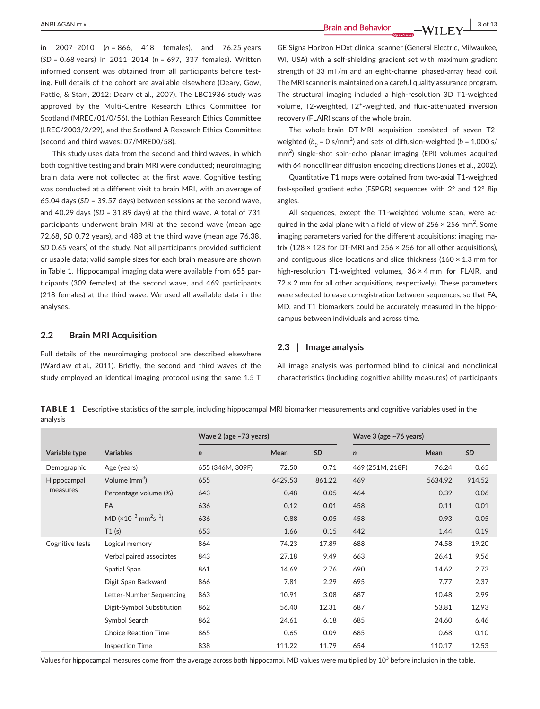**ANBLAGAN** ET AL. 3 of 13

in 2007–2010 (*n* = 866, 418 females), and 76.25 years (*SD* = 0.68 years) in 2011–2014 (*n* = 697, 337 females). Written informed consent was obtained from all participants before testing. Full details of the cohort are available elsewhere (Deary, Gow, Pattie, & Starr, 2012; Deary et al., 2007). The LBC1936 study was approved by the Multi-Centre Research Ethics Committee for Scotland (MREC/01/0/56), the Lothian Research Ethics Committee (LREC/2003/2/29), and the Scotland A Research Ethics Committee (second and third waves: 07/MRE00/58).

This study uses data from the second and third waves, in which both cognitive testing and brain MRI were conducted; neuroimaging brain data were not collected at the first wave. Cognitive testing was conducted at a different visit to brain MRI, with an average of 65.04 days (*SD* = 39.57 days) between sessions at the second wave, and 40.29 days (*SD* = 31.89 days) at the third wave. A total of 731 participants underwent brain MRI at the second wave (mean age 72.68, *SD* 0.72 years), and 488 at the third wave (mean age 76.38, *SD* 0.65 years) of the study. Not all participants provided sufficient or usable data; valid sample sizes for each brain measure are shown in Table 1. Hippocampal imaging data were available from 655 participants (309 females) at the second wave, and 469 participants (218 females) at the third wave. We used all available data in the analyses.

#### **2.2** | **Brain MRI Acquisition**

Full details of the neuroimaging protocol are described elsewhere (Wardlaw et al., 2011). Briefly, the second and third waves of the study employed an identical imaging protocol using the same 1.5 T GE Signa Horizon HDxt clinical scanner (General Electric, Milwaukee, WI, USA) with a self-shielding gradient set with maximum gradient strength of 33 mT/m and an eight-channel phased-array head coil. The MRI scanner is maintained on a careful quality assurance program. The structural imaging included a high-resolution 3D T1-weighted volume, T2-weighted, T2\*-weighted, and fluid-attenuated inversion recovery (FLAIR) scans of the whole brain.

The whole-brain DT-MRI acquisition consisted of seven T2 weighted ( $b_0$  = 0 s/mm<sup>2</sup>) and sets of diffusion-weighted ( $b$  = 1,000 s/ mm<sup>2</sup>) single-shot spin-echo planar imaging (EPI) volumes acquired with 64 noncollinear diffusion encoding directions (Jones et al., 2002).

Quantitative T1 maps were obtained from two-axial T1-weighted fast-spoiled gradient echo (FSPGR) sequences with 2° and 12° flip angles.

All sequences, except the T1-weighted volume scan, were acquired in the axial plane with a field of view of  $256 \times 256$  mm<sup>2</sup>. Some imaging parameters varied for the different acquisitions: imaging matrix (128  $\times$  128 for DT-MRI and 256  $\times$  256 for all other acquisitions), and contiguous slice locations and slice thickness ( $160 \times 1.3$  mm for high-resolution T1-weighted volumes, 36 × 4 mm for FLAIR, and  $72 \times 2$  mm for all other acquisitions, respectively). These parameters were selected to ease co-registration between sequences, so that FA, MD, and T1 biomarkers could be accurately measured in the hippocampus between individuals and across time.

#### **2.3** | **Image analysis**

All image analysis was performed blind to clinical and nonclinical characteristics (including cognitive ability measures) of participants

TABLE 1 Descriptive statistics of the sample, including hippocampal MRI biomarker measurements and cognitive variables used in the analysis

|                 |                                                                  | Wave 2 (age ~73 years) |         |        | Wave 3 (age ~76 years) |         |        |  |  |  |  |  |
|-----------------|------------------------------------------------------------------|------------------------|---------|--------|------------------------|---------|--------|--|--|--|--|--|
| Variable type   | <b>Variables</b>                                                 | $\mathsf{n}$           | Mean    | SD     | $\mathsf{n}$           | Mean    | SD     |  |  |  |  |  |
| Demographic     | Age (years)                                                      | 655 (346M, 309F)       | 72.50   | 0.71   | 469 (251M, 218F)       | 76.24   | 0.65   |  |  |  |  |  |
| Hippocampal     | Volume (mm <sup>3</sup> )                                        | 655                    | 6429.53 | 861.22 | 469                    | 5634.92 | 914.52 |  |  |  |  |  |
| measures        | Percentage volume (%)                                            | 643                    | 0.48    | 0.05   | 464                    | 0.39    | 0.06   |  |  |  |  |  |
|                 | FA                                                               | 636                    | 0.12    | 0.01   | 458                    | 0.11    | 0.01   |  |  |  |  |  |
|                 | MD ( $\times$ 10 <sup>-3</sup> mm <sup>2</sup> s <sup>-1</sup> ) | 636                    | 0.88    | 0.05   | 458                    | 0.93    | 0.05   |  |  |  |  |  |
|                 | T1(s)                                                            | 653                    | 1.66    | 0.15   | 442                    | 1.44    | 0.19   |  |  |  |  |  |
| Cognitive tests | Logical memory                                                   | 864                    | 74.23   | 17.89  | 688                    | 74.58   | 19.20  |  |  |  |  |  |
|                 | Verbal paired associates                                         | 843                    | 27.18   | 9.49   | 663                    | 26.41   | 9.56   |  |  |  |  |  |
|                 | Spatial Span                                                     | 861                    | 14.69   | 2.76   | 690                    | 14.62   | 2.73   |  |  |  |  |  |
|                 | Digit Span Backward                                              | 866                    | 7.81    | 2.29   | 695                    | 7.77    | 2.37   |  |  |  |  |  |
|                 | Letter-Number Sequencing                                         | 863                    | 10.91   | 3.08   | 687                    | 10.48   | 2.99   |  |  |  |  |  |
|                 | Digit-Symbol Substitution                                        | 862                    | 56.40   | 12.31  | 687                    | 53.81   | 12.93  |  |  |  |  |  |
|                 | Symbol Search                                                    | 862                    | 24.61   | 6.18   | 685                    | 24.60   | 6.46   |  |  |  |  |  |
|                 | <b>Choice Reaction Time</b>                                      | 865                    | 0.65    | 0.09   | 685                    | 0.68    | 0.10   |  |  |  |  |  |
|                 | <b>Inspection Time</b>                                           | 838                    | 111.22  | 11.79  | 654                    | 110.17  | 12.53  |  |  |  |  |  |

Values for hippocampal measures come from the average across both hippocampi. MD values were multiplied by 10 $^3$  before inclusion in the table.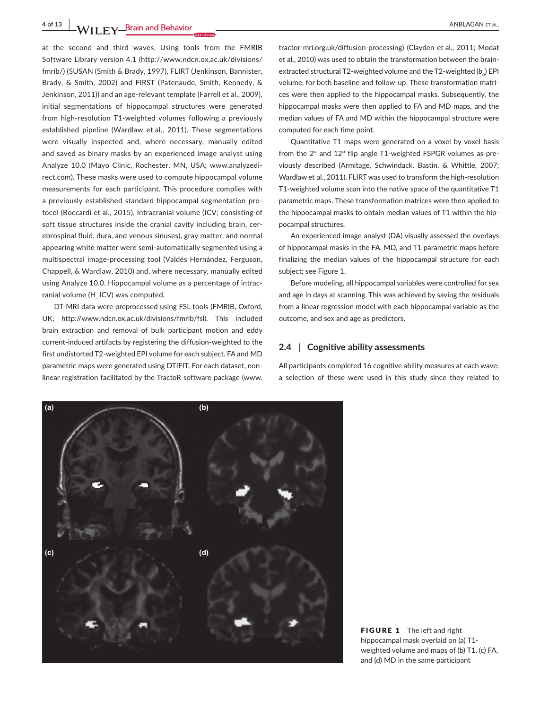**4 of 13 WII FY** Brain and Behavior <u>decrease and the set of all the set of all the set of all the set of all</u>

at the second and third waves. Using tools from the FMRIB Software Library version 4.1 ([http://www.ndcn.ox.ac.uk/divisions/](http://www.ndcn.ox.ac.uk/divisions/fmrib/) [fmrib/\)](http://www.ndcn.ox.ac.uk/divisions/fmrib/) (SUSAN (Smith & Brady, 1997), FLIRT (Jenkinson, Bannister, Brady, & Smith, 2002) and FIRST (Patenaude, Smith, Kennedy, & Jenkinson, 2011)) and an age-relevant template (Farrell et al., 2009), initial segmentations of hippocampal structures were generated from high-resolution T1-weighted volumes following a previously established pipeline (Wardlaw et al., 2011). These segmentations were visually inspected and, where necessary, manually edited and saved as binary masks by an experienced image analyst using Analyze 10.0 (Mayo Clinic, Rochester, MN, USA; [www.analyzedi](http://www.analyzedirect.com)[rect.com](http://www.analyzedirect.com)). These masks were used to compute hippocampal volume measurements for each participant. This procedure complies with a previously established standard hippocampal segmentation protocol (Boccardi et al., 2015). Intracranial volume (ICV; consisting of soft tissue structures inside the cranial cavity including brain, cerebrospinal fluid, dura, and venous sinuses), gray matter, and normal appearing white matter were semi-automatically segmented using a multispectral image-processing tool (Valdés Hernández, Ferguson, Chappell, & Wardlaw, 2010) and, where necessary, manually edited using Analyze 10.0. Hippocampal volume as a percentage of intracranial volume (H\_ICV) was computed.

DT-MRI data were preprocessed using FSL tools (FMRIB, Oxford, UK; <http://www.ndcn.ox.ac.uk/divisions/fmrib/fsl>). This included brain extraction and removal of bulk participant motion and eddy current-induced artifacts by registering the diffusion-weighted to the first undistorted T2-weighted EPI volume for each subject. FA and MD parametric maps were generated using DTIFIT. For each dataset, nonlinear registration facilitated by the TractoR software package [\(www.](http://www.tractor-mri.org.uk/diffusion-processing)

[tractor-mri.org.uk/diffusion-processing\)](http://www.tractor-mri.org.uk/diffusion-processing) (Clayden et al., 2011; Modat et al., 2010) was used to obtain the transformation between the brainextracted structural T2-weighted volume and the T2-weighted (*b*<sub>o</sub>) EPI volume, for both baseline and follow-up. These transformation matrices were then applied to the hippocampal masks. Subsequently, the hippocampal masks were then applied to FA and MD maps, and the median values of FA and MD within the hippocampal structure were computed for each time point.

Quantitative T1 maps were generated on a voxel by voxel basis from the 2° and 12° flip angle T1-weighted FSPGR volumes as previously described (Armitage, Schwindack, Bastin, & Whittle, 2007; Wardlaw et al., 2011). FLIRT was used to transform the high-resolution T1-weighted volume scan into the native space of the quantitative T1 parametric maps. These transformation matrices were then applied to the hippocampal masks to obtain median values of T1 within the hippocampal structures.

An experienced image analyst (DA) visually assessed the overlays of hippocampal masks in the FA, MD, and T1 parametric maps before finalizing the median values of the hippocampal structure for each subject; see Figure 1.

Before modeling, all hippocampal variables were controlled for sex and age in days at scanning. This was achieved by saving the residuals from a linear regression model with each hippocampal variable as the outcome, and sex and age as predictors.

#### **2.4** | **Cognitive ability assessments**

All participants completed 16 cognitive ability measures at each wave; a selection of these were used in this study since they related to



FIGURE 1 The left and right hippocampal mask overlaid on (a) T1 weighted volume and maps of (b) T1, (c) FA, and (d) MD in the same participant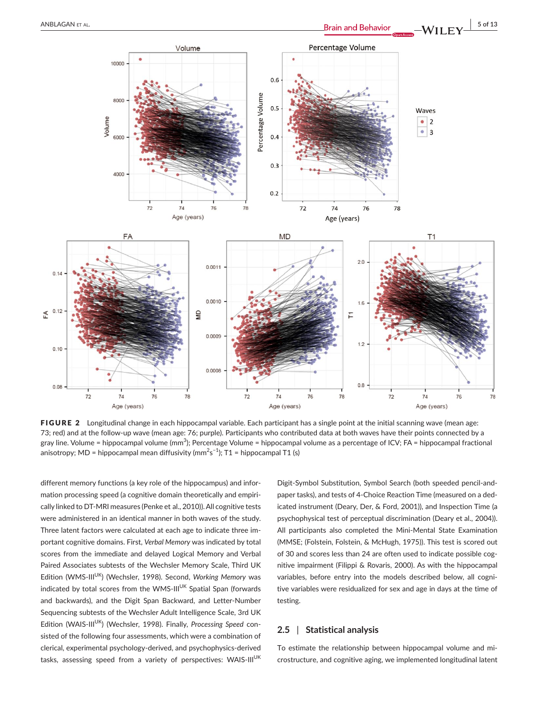

FIGURE 2 Longitudinal change in each hippocampal variable. Each participant has a single point at the initial scanning wave (mean age: 73; red) and at the follow-up wave (mean age: 76; purple). Participants who contributed data at both waves have their points connected by a gray line. Volume = hippocampal volume (mm<sup>3</sup>); Percentage Volume = hippocampal volume as a percentage of ICV; FA = hippocampal fractional anisotropy; MD = hippocampal mean diffusivity (mm $^2$ s $^{-1}$ ); T1 = hippocampal T1 (s)

different memory functions (a key role of the hippocampus) and information processing speed (a cognitive domain theoretically and empirically linked to DT-MRI measures (Penke et al., 2010)). All cognitive tests were administered in an identical manner in both waves of the study. Three latent factors were calculated at each age to indicate three important cognitive domains. First, *Verbal Memory* was indicated by total scores from the immediate and delayed Logical Memory and Verbal Paired Associates subtests of the Wechsler Memory Scale, Third UK Edition (WMS-III<sup>UK</sup>) (Wechsler, 1998). Second, Working Memory was indicated by total scores from the WMS-III<sup>UK</sup> Spatial Span (forwards and backwards), and the Digit Span Backward, and Letter-Number Sequencing subtests of the Wechsler Adult Intelligence Scale, 3rd UK Edition (WAIS-III<sup>UK</sup>) (Wechsler, 1998). Finally, *Processing Speed* consisted of the following four assessments, which were a combination of clerical, experimental psychology-derived, and psychophysics-derived tasks, assessing speed from a variety of perspectives: WAIS-III<sup>UK</sup>

Digit-Symbol Substitution, Symbol Search (both speeded pencil-andpaper tasks), and tests of 4-Choice Reaction Time (measured on a dedicated instrument (Deary, Der, & Ford, 2001)), and Inspection Time (a psychophysical test of perceptual discrimination (Deary et al., 2004)). All participants also completed the Mini-Mental State Examination (MMSE; (Folstein, Folstein, & McHugh, 1975)). This test is scored out of 30 and scores less than 24 are often used to indicate possible cognitive impairment (Filippi & Rovaris, 2000). As with the hippocampal variables, before entry into the models described below, all cognitive variables were residualized for sex and age in days at the time of testing.

#### **2.5** | **Statistical analysis**

To estimate the relationship between hippocampal volume and microstructure, and cognitive aging, we implemented longitudinal latent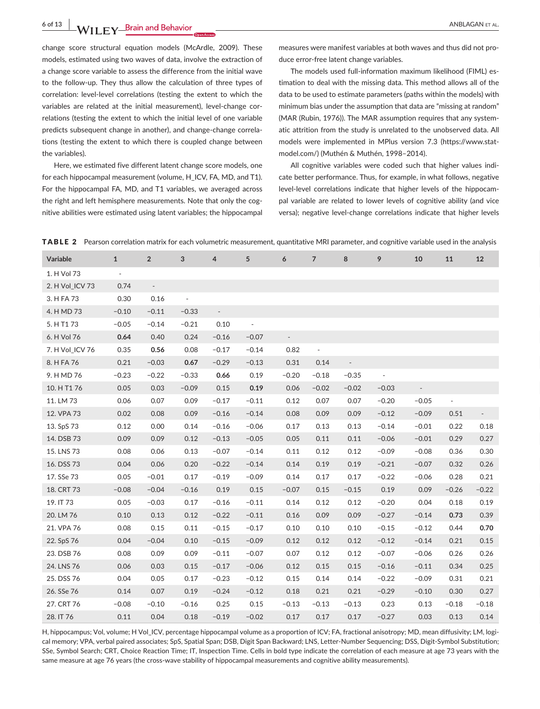**6 of 13 |**  ANBLAGAN et al.

change score structural equation models (McArdle, 2009). These models, estimated using two waves of data, involve the extraction of a change score variable to assess the difference from the initial wave to the follow-up. They thus allow the calculation of three types of correlation: level-level correlations (testing the extent to which the variables are related at the initial measurement), level-change correlations (testing the extent to which the initial level of one variable predicts subsequent change in another), and change-change correlations (testing the extent to which there is coupled change between the variables).

Here, we estimated five different latent change score models, one for each hippocampal measurement (volume, H\_ICV, FA, MD, and T1). For the hippocampal FA, MD, and T1 variables, we averaged across the right and left hemisphere measurements. Note that only the cognitive abilities were estimated using latent variables; the hippocampal

measures were manifest variables at both waves and thus did not produce error-free latent change variables.

The models used full-information maximum likelihood (FIML) estimation to deal with the missing data. This method allows all of the data to be used to estimate parameters (paths within the models) with minimum bias under the assumption that data are "missing at random" (MAR (Rubin, 1976)). The MAR assumption requires that any systematic attrition from the study is unrelated to the unobserved data. All models were implemented in MPlus version 7.3 [\(https://www.stat](https://www.statmodel.com/)[model.com/\)](https://www.statmodel.com/) (Muthén & Muthén, 1998–2014).

All cognitive variables were coded such that higher values indicate better performance. Thus, for example, in what follows, negative level-level correlations indicate that higher levels of the hippocampal variable are related to lower levels of cognitive ability (and vice versa); negative level-change correlations indicate that higher levels

TABLE 2 Pearson correlation matrix for each volumetric measurement, quantitative MRI parameter, and cognitive variable used in the analysis

| Variable        | 1       | $\overline{2}$ | $\overline{3}$ | $\overline{a}$           | 5                        | 6          | $\overline{7}$ | 8       | -9      | 10      | 11      | 12      |
|-----------------|---------|----------------|----------------|--------------------------|--------------------------|------------|----------------|---------|---------|---------|---------|---------|
| 1. H Vol 73     | $\sim$  |                |                |                          |                          |            |                |         |         |         |         |         |
| 2. H Vol_ICV 73 | 0.74    | $\sim$         |                |                          |                          |            |                |         |         |         |         |         |
| 3. H FA 73      | 0.30    | 0.16           | $\sim$         |                          |                          |            |                |         |         |         |         |         |
| 4. H MD 73      | $-0.10$ | $-0.11$        | $-0.33$        | $\overline{\phantom{a}}$ |                          |            |                |         |         |         |         |         |
| 5. H T1 73      | $-0.05$ | $-0.14$        | $-0.21$        | 0.10                     | $\overline{\phantom{a}}$ |            |                |         |         |         |         |         |
| 6. H Vol 76     | 0.64    | 0.40           | 0.24           | $-0.16$                  | $-0.07$                  | $\sim$ $-$ |                |         |         |         |         |         |
| 7. H Vol_ICV 76 | 0.35    | 0.56           | 0.08           | $-0.17$                  | $-0.14$                  | 0.82       |                |         |         |         |         |         |
| 8. H FA 76      | 0.21    | $-0.03$        | 0.67           | $-0.29$                  | $-0.13$                  | 0.31       | 0.14           | $\sim$  |         |         |         |         |
| 9. H MD 76      | $-0.23$ | $-0.22$        | $-0.33$        | 0.66                     | 0.19                     | $-0.20$    | $-0.18$        | $-0.35$ | $\sim$  |         |         |         |
| 10. H T1 76     | 0.05    | 0.03           | $-0.09$        | 0.15                     | 0.19                     | 0.06       | $-0.02$        | $-0.02$ | $-0.03$ | $\sim$  |         |         |
| 11. LM 73       | 0.06    | 0.07           | 0.09           | $-0.17$                  | $-0.11$                  | 0.12       | 0.07           | 0.07    | $-0.20$ | $-0.05$ | $\sim$  |         |
| 12. VPA 73      | 0.02    | 0.08           | 0.09           | $-0.16$                  | $-0.14$                  | 0.08       | 0.09           | 0.09    | $-0.12$ | $-0.09$ | 0.51    | $\sim$  |
| 13. SpS 73      | 0.12    | 0.00           | 0.14           | $-0.16$                  | $-0.06$                  | 0.17       | 0.13           | 0.13    | $-0.14$ | $-0.01$ | 0.22    | 0.18    |
| 14. DSB 73      | 0.09    | 0.09           | 0.12           | $-0.13$                  | $-0.05$                  | 0.05       | 0.11           | 0.11    | $-0.06$ | $-0.01$ | 0.29    | 0.27    |
| 15. LNS 73      | 0.08    | 0.06           | 0.13           | $-0.07$                  | $-0.14$                  | 0.11       | 0.12           | 0.12    | $-0.09$ | $-0.08$ | 0.36    | 0.30    |
| 16. DSS 73      | 0.04    | 0.06           | 0.20           | $-0.22$                  | $-0.14$                  | 0.14       | 0.19           | 0.19    | $-0.21$ | $-0.07$ | 0.32    | 0.26    |
| 17. SSe 73      | 0.05    | $-0.01$        | 0.17           | $-0.19$                  | $-0.09$                  | 0.14       | 0.17           | 0.17    | $-0.22$ | $-0.06$ | 0.28    | 0.21    |
| 18. CRT 73      | $-0.08$ | $-0.04$        | $-0.16$        | 0.19                     | 0.15                     | $-0.07$    | 0.15           | $-0.15$ | 0.19    | 0.09    | $-0.26$ | $-0.22$ |
| 19. IT 73       | 0.05    | $-0.03$        | 0.17           | $-0.16$                  | $-0.11$                  | 0.14       | 0.12           | 0.12    | $-0.20$ | 0.04    | 0.18    | 0.19    |
| 20. LM 76       | 0.10    | 0.13           | 0.12           | $-0.22$                  | $-0.11$                  | 0.16       | 0.09           | 0.09    | $-0.27$ | $-0.14$ | 0.73    | 0.39    |
| 21. VPA 76      | 0.08    | 0.15           | 0.11           | $-0.15$                  | $-0.17$                  | 0.10       | 0.10           | 0.10    | $-0.15$ | $-0.12$ | 0.44    | 0.70    |
| 22. SpS 76      | 0.04    | $-0.04$        | 0.10           | $-0.15$                  | $-0.09$                  | 0.12       | 0.12           | 0.12    | $-0.12$ | $-0.14$ | 0.21    | 0.15    |
| 23. DSB 76      | 0.08    | 0.09           | 0.09           | $-0.11$                  | $-0.07$                  | 0.07       | 0.12           | 0.12    | $-0.07$ | $-0.06$ | 0.26    | 0.26    |
| 24. LNS 76      | 0.06    | 0.03           | 0.15           | $-0.17$                  | $-0.06$                  | 0.12       | 0.15           | 0.15    | $-0.16$ | $-0.11$ | 0.34    | 0.25    |
| 25. DSS 76      | 0.04    | 0.05           | 0.17           | $-0.23$                  | $-0.12$                  | 0.15       | 0.14           | 0.14    | $-0.22$ | $-0.09$ | 0.31    | 0.21    |
| 26. SSe 76      | 0.14    | 0.07           | 0.19           | $-0.24$                  | $-0.12$                  | 0.18       | 0.21           | 0.21    | $-0.29$ | $-0.10$ | 0.30    | 0.27    |
| 27. CRT 76      | $-0.08$ | $-0.10$        | $-0.16$        | 0.25                     | 0.15                     | $-0.13$    | $-0.13$        | $-0.13$ | 0.23    | 0.13    | $-0.18$ | $-0.18$ |
| 28. IT 76       | 0.11    | 0.04           | 0.18           | $-0.19$                  | $-0.02$                  | 0.17       | 0.17           | 0.17    | $-0.27$ | 0.03    | 0.13    | 0.14    |

H, hippocampus; Vol, volume; H Vol\_ICV, percentage hippocampal volume as a proportion of ICV; FA, fractional anisotropy; MD, mean diffusivity; LM, logical memory; VPA, verbal paired associates; SpS, Spatial Span; DSB, Digit Span Backward; LNS, Letter-Number Sequencing; DSS, Digit-Symbol Substitution; SSe, Symbol Search; CRT, Choice Reaction Time; IT, Inspection Time. Cells in bold type indicate the correlation of each measure at age 73 years with the same measure at age 76 years (the cross-wave stability of hippocampal measurements and cognitive ability measurements).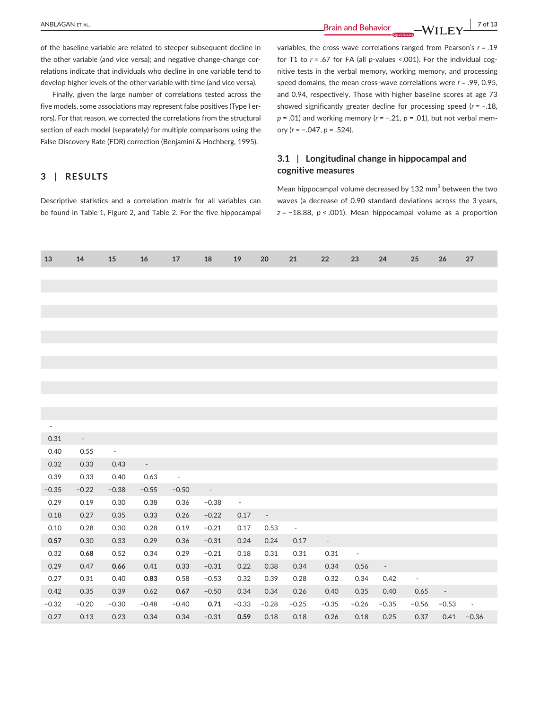**ANBLAGAN ET AL.** 2 of 13

of the baseline variable are related to steeper subsequent decline in the other variable (and vice versa); and negative change-change correlations indicate that individuals who decline in one variable tend to develop higher levels of the other variable with time (and vice versa).

Finally, given the large number of correlations tested across the five models, some associations may represent false positives (Type I errors). For that reason, we corrected the correlations from the structural section of each model (separately) for multiple comparisons using the False Discovery Rate (FDR) correction (Benjamini & Hochberg, 1995).

# **3** | **RESULTS**

Descriptive statistics and a correlation matrix for all variables can be found in Table 1, Figure 2, and Table 2. For the five hippocampal variables, the cross-wave correlations ranged from Pearson's *r* = .19 for T1 to *r* = .67 for FA (all *p*-values <.001). For the individual cognitive tests in the verbal memory, working memory, and processing speed domains, the mean cross-wave correlations were *r* = .99, 0.95, and 0.94, respectively. Those with higher baseline scores at age 73 showed significantly greater decline for processing speed (*r =* −.18, *p* = .01) and working memory (*r* = −.21, *p* = .01), but not verbal memory (*r* = −.047, *p* = .524).

# **3.1** | **Longitudinal change in hippocampal and cognitive measures**

Mean hippocampal volume decreased by  $132 \text{ mm}^3$  between the two waves (a decrease of 0.90 standard deviations across the 3 years, *z* = −18.88, *p* < .001). Mean hippocampal volume as a proportion

| 14                              | 15              | 16                             | 17              | 18                                  | 19 20 21                 |                | 22                                                                                                                                                                                                                                                                                                                                                                                                                                                        | 23                      | 24                                      | 25                   | 26                    | 27                      |
|---------------------------------|-----------------|--------------------------------|-----------------|-------------------------------------|--------------------------|----------------|-----------------------------------------------------------------------------------------------------------------------------------------------------------------------------------------------------------------------------------------------------------------------------------------------------------------------------------------------------------------------------------------------------------------------------------------------------------|-------------------------|-----------------------------------------|----------------------|-----------------------|-------------------------|
|                                 |                 |                                |                 |                                     |                          |                |                                                                                                                                                                                                                                                                                                                                                                                                                                                           |                         |                                         |                      |                       |                         |
|                                 |                 |                                |                 |                                     |                          |                |                                                                                                                                                                                                                                                                                                                                                                                                                                                           |                         |                                         |                      |                       |                         |
|                                 |                 |                                |                 |                                     |                          |                |                                                                                                                                                                                                                                                                                                                                                                                                                                                           |                         |                                         |                      |                       |                         |
|                                 |                 |                                |                 |                                     |                          |                |                                                                                                                                                                                                                                                                                                                                                                                                                                                           |                         |                                         |                      |                       |                         |
|                                 |                 |                                |                 |                                     |                          |                |                                                                                                                                                                                                                                                                                                                                                                                                                                                           |                         |                                         |                      |                       |                         |
|                                 |                 |                                |                 |                                     |                          |                |                                                                                                                                                                                                                                                                                                                                                                                                                                                           |                         |                                         |                      |                       |                         |
|                                 |                 |                                |                 |                                     |                          |                |                                                                                                                                                                                                                                                                                                                                                                                                                                                           |                         |                                         |                      |                       |                         |
|                                 |                 |                                |                 |                                     |                          |                |                                                                                                                                                                                                                                                                                                                                                                                                                                                           |                         |                                         |                      |                       |                         |
|                                 |                 |                                |                 |                                     |                          |                |                                                                                                                                                                                                                                                                                                                                                                                                                                                           |                         |                                         |                      |                       |                         |
|                                 |                 |                                |                 |                                     |                          |                |                                                                                                                                                                                                                                                                                                                                                                                                                                                           |                         |                                         |                      |                       |                         |
|                                 |                 |                                |                 |                                     |                          |                |                                                                                                                                                                                                                                                                                                                                                                                                                                                           |                         |                                         |                      |                       |                         |
|                                 |                 |                                |                 |                                     |                          |                |                                                                                                                                                                                                                                                                                                                                                                                                                                                           |                         |                                         |                      |                       |                         |
| 0.31<br>$\sim 100$ km s $^{-1}$ |                 |                                |                 |                                     |                          |                |                                                                                                                                                                                                                                                                                                                                                                                                                                                           |                         |                                         |                      |                       |                         |
| 0.55<br>0.40                    | <b>Contract</b> |                                |                 |                                     |                          |                |                                                                                                                                                                                                                                                                                                                                                                                                                                                           |                         |                                         |                      |                       |                         |
| 0.32                            | 0.33 0.43       | $\alpha$ , $\alpha$ , $\alpha$ |                 |                                     |                          |                |                                                                                                                                                                                                                                                                                                                                                                                                                                                           |                         |                                         |                      |                       |                         |
| 0.33<br>0.39                    | 0.40            | 0.63                           | $\sim 10^{-10}$ |                                     |                          |                |                                                                                                                                                                                                                                                                                                                                                                                                                                                           |                         |                                         |                      |                       |                         |
| $-0.35$                         | $-0.22 -0.38$   |                                | $-0.55 -0.50$   | <b>Contractor</b>                   |                          |                |                                                                                                                                                                                                                                                                                                                                                                                                                                                           |                         |                                         |                      |                       |                         |
| 0.29<br>0.19                    | 0.30            | 0.38                           |                 | $0.36 -0.38$                        | $\sim 100$ km s $^{-1}$  |                |                                                                                                                                                                                                                                                                                                                                                                                                                                                           |                         |                                         |                      |                       |                         |
| 0.27<br>0.18                    | 0.35            | 0.33                           |                 | $0.26 -0.22$ 0.17 -                 |                          |                |                                                                                                                                                                                                                                                                                                                                                                                                                                                           |                         |                                         |                      |                       |                         |
| 0.10<br>0.28                    | 0.30            | 0.28                           |                 | $0.19 -0.21$                        | $0.17$ $0.53$ -          |                |                                                                                                                                                                                                                                                                                                                                                                                                                                                           |                         |                                         |                      |                       |                         |
| 0.30<br>0.57                    | 0.33            | 0.29                           |                 | $0.36$ $-0.31$ $0.24$ $0.24$ $0.17$ |                          |                | $\mathcal{L}^{\mathcal{L}}(\mathcal{L}^{\mathcal{L}}(\mathcal{L}^{\mathcal{L}}(\mathcal{L}^{\mathcal{L}}(\mathcal{L}^{\mathcal{L}}(\mathcal{L}^{\mathcal{L}}(\mathcal{L}^{\mathcal{L}}(\mathcal{L}^{\mathcal{L}}(\mathcal{L}^{\mathcal{L}}(\mathcal{L}^{\mathcal{L}}(\mathcal{L}^{\mathcal{L}}(\mathcal{L}^{\mathcal{L}}(\mathcal{L}^{\mathcal{L}}(\mathcal{L}^{\mathcal{L}}(\mathcal{L}^{\mathcal{L}}(\mathcal{L}^{\mathcal{L}}(\mathcal{L}^{\mathcal{L$ |                         |                                         |                      |                       |                         |
| 0.68<br>0.32                    | 0.52            | 0.34                           | 0.29            | $-0.21$                             | 0.18  0.31  0.31         |                | 0.31                                                                                                                                                                                                                                                                                                                                                                                                                                                      | $\sim 100$ km s $^{-1}$ |                                         |                      |                       |                         |
| 0.29<br>0.47                    | 0.66            | 0.41                           | 0.33            | $-0.31$                             | $0.22$ 0.38              | 0.34           |                                                                                                                                                                                                                                                                                                                                                                                                                                                           | $0.34$ $0.56$ -         |                                         |                      |                       |                         |
| 0.27<br>0.31                    | 0.40            | 0.83                           | 0.58            | $-0.53$                             |                          | 0.32 0.39 0.28 | 0.32                                                                                                                                                                                                                                                                                                                                                                                                                                                      |                         | 0.34 0.42                               | $\sim 100$ m $^{-1}$ |                       |                         |
| 0.35<br>0.42                    | 0.39            | 0.62                           |                 | $0.67$ $-0.50$ $0.34$ $0.34$ $0.26$ |                          |                | 0.40                                                                                                                                                                                                                                                                                                                                                                                                                                                      |                         | 0.35  0.40  0.65  -                     |                      |                       |                         |
| $-0.20$<br>$-0.32$              | $-0.30$         | $-0.48$                        | $-0.40$         |                                     | $0.71 -0.33 -0.28 -0.25$ |                |                                                                                                                                                                                                                                                                                                                                                                                                                                                           |                         | $-0.35$ $-0.26$ $-0.35$ $-0.56$ $-0.53$ |                      |                       | $\sim 100$ km s $^{-1}$ |
| 0.27<br>0.13                    | 0.23            | 0.34                           | 0.34            | $-0.31$ 0.59 0.18 0.18              |                          |                |                                                                                                                                                                                                                                                                                                                                                                                                                                                           | 0.26  0.18  0.25        |                                         |                      | $0.37$ $0.41$ $-0.36$ |                         |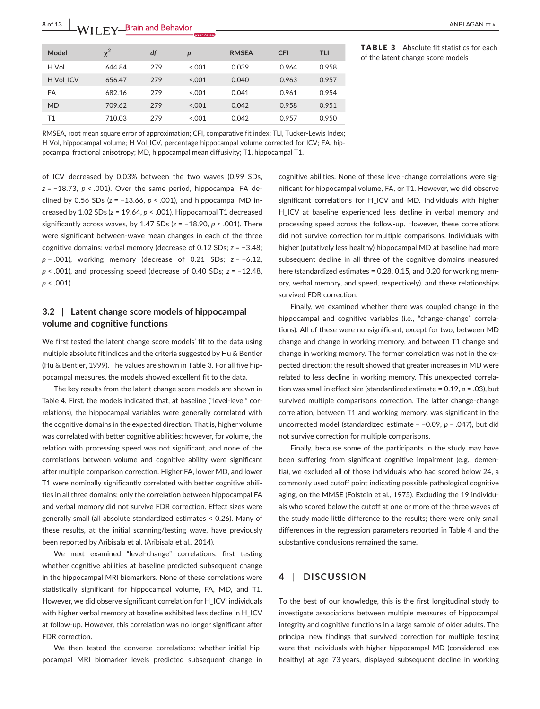| Model     | $\chi^2$ | df  | $\boldsymbol{p}$ | <b>RMSEA</b> | <b>CFI</b> | <b>TLI</b> |
|-----------|----------|-----|------------------|--------------|------------|------------|
| H Vol     | 644.84   | 279 | < 0.001          | 0.039        | 0.964      | 0.958      |
| H Vol ICV | 656.47   | 279 | < 0.001          | 0.040        | 0.963      | 0.957      |
| FA        | 682.16   | 279 | < 0.001          | 0.041        | 0.961      | 0.954      |
| <b>MD</b> | 709.62   | 279 | < 0.001          | 0.042        | 0.958      | 0.951      |
| Τ1        | 710.03   | 279 | 5.001            | 0.042        | 0.957      | 0.950      |

TABLE 3 Absolute fit statistics for each of the latent change score models

RMSEA, root mean square error of approximation; CFI, comparative fit index; TLI, Tucker-Lewis Index; H Vol, hippocampal volume; H Vol\_ICV, percentage hippocampal volume corrected for ICV; FA, hippocampal fractional anisotropy; MD, hippocampal mean diffusivity; T1, hippocampal T1.

of ICV decreased by 0.03% between the two waves (0.99 SDs, *z* = −18.73, *p* < .001). Over the same period, hippocampal FA declined by 0.56 SDs (*z* = −13.66, *p* < .001), and hippocampal MD increased by 1.02 SDs (*z* = 19.64, *p* < .001). Hippocampal T1 decreased significantly across waves, by 1.47 SDs (*z* = −18.90, *p* < .001). There were significant between-wave mean changes in each of the three cognitive domains: verbal memory (decrease of 0.12 SDs; *z* = −3.48; *p* = .001), working memory (decrease of 0.21 SDs; *z* = −6.12, *p* < .001), and processing speed (decrease of 0.40 SDs; *z* = −12.48, *p* < .001).

# **3.2** | **Latent change score models of hippocampal volume and cognitive functions**

We first tested the latent change score models' fit to the data using multiple absolute fit indices and the criteria suggested by Hu & Bentler (Hu & Bentler, 1999). The values are shown in Table 3. For all five hippocampal measures, the models showed excellent fit to the data.

The key results from the latent change score models are shown in Table 4. First, the models indicated that, at baseline ("level-level" correlations), the hippocampal variables were generally correlated with the cognitive domains in the expected direction. That is, higher volume was correlated with better cognitive abilities; however, for volume, the relation with processing speed was not significant, and none of the correlations between volume and cognitive ability were significant after multiple comparison correction. Higher FA, lower MD, and lower T1 were nominally significantly correlated with better cognitive abilities in all three domains; only the correlation between hippocampal FA and verbal memory did not survive FDR correction. Effect sizes were generally small (all absolute standardized estimates < 0.26). Many of these results, at the initial scanning/testing wave, have previously been reported by Aribisala et al. (Aribisala et al., 2014).

We next examined "level-change" correlations, first testing whether cognitive abilities at baseline predicted subsequent change in the hippocampal MRI biomarkers. None of these correlations were statistically significant for hippocampal volume, FA, MD, and T1. However, we did observe significant correlation for H\_ICV: individuals with higher verbal memory at baseline exhibited less decline in H\_ICV at follow-up. However, this correlation was no longer significant after FDR correction.

We then tested the converse correlations: whether initial hippocampal MRI biomarker levels predicted subsequent change in cognitive abilities. None of these level-change correlations were significant for hippocampal volume, FA, or T1. However, we did observe significant correlations for H\_ICV and MD. Individuals with higher H\_ICV at baseline experienced less decline in verbal memory and processing speed across the follow-up. However, these correlations did not survive correction for multiple comparisons. Individuals with higher (putatively less healthy) hippocampal MD at baseline had more subsequent decline in all three of the cognitive domains measured here (standardized estimates = 0.28, 0.15, and 0.20 for working memory, verbal memory, and speed, respectively), and these relationships survived FDR correction.

Finally, we examined whether there was coupled change in the hippocampal and cognitive variables (i.e., "change-change" correlations). All of these were nonsignificant, except for two, between MD change and change in working memory, and between T1 change and change in working memory. The former correlation was not in the expected direction; the result showed that greater increases in MD were related to less decline in working memory. This unexpected correlation was small in effect size (standardized estimate = 0.19, *p* = .03), but survived multiple comparisons correction. The latter change-change correlation, between T1 and working memory, was significant in the uncorrected model (standardized estimate = −0.09, *p* = .047), but did not survive correction for multiple comparisons.

Finally, because some of the participants in the study may have been suffering from significant cognitive impairment (e.g., dementia), we excluded all of those individuals who had scored below 24, a commonly used cutoff point indicating possible pathological cognitive aging, on the MMSE (Folstein et al., 1975). Excluding the 19 individuals who scored below the cutoff at one or more of the three waves of the study made little difference to the results; there were only small differences in the regression parameters reported in Table 4 and the substantive conclusions remained the same.

# **4** | **DISCUSSION**

To the best of our knowledge, this is the first longitudinal study to investigate associations between multiple measures of hippocampal integrity and cognitive functions in a large sample of older adults. The principal new findings that survived correction for multiple testing were that individuals with higher hippocampal MD (considered less healthy) at age 73 years, displayed subsequent decline in working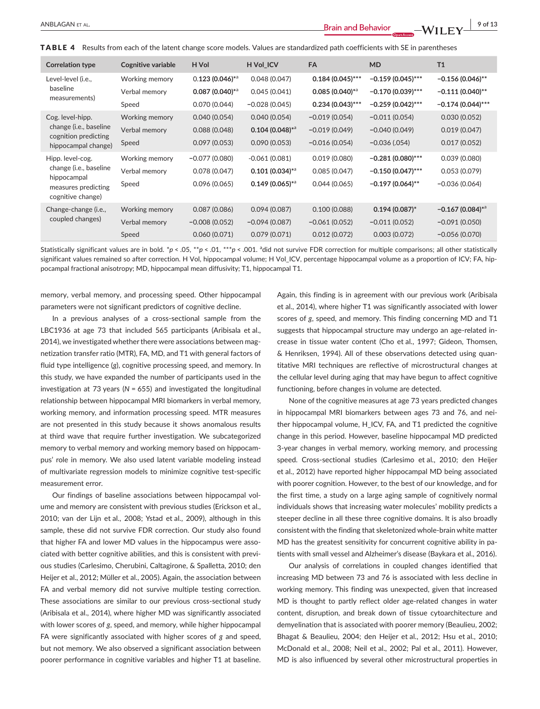TABLE 4 Results from each of the latent change score models. Values are standardized path coefficients with SE in parentheses

| <b>Correlation type</b>                                 | Cognitive variable | H Vol                        | H Vol_ICV                     | <b>FA</b>                    | <b>MD</b>           | T1                            |
|---------------------------------------------------------|--------------------|------------------------------|-------------------------------|------------------------------|---------------------|-------------------------------|
| Level-level (i.e.,                                      | Working memory     | $0.123(0.046)$ <sup>*a</sup> | 0.048(0.047)                  | $0.184(0.045)$ ***           | $-0.159(0.045)$ *** | $-0.156(0.046)$ **            |
| baseline                                                | Verbal memory      | $0.087(0.040)^{*a}$          | 0.045(0.041)                  | $0.085(0.040)$ <sup>*a</sup> | $-0.170(0.039)$ *** | $-0.111(0.040)$ **            |
| measurements)                                           | Speed              | 0.070(0.044)                 | $-0.028(0.045)$               | $0.234(0.043)$ ***           | $-0.259(0.042)$ *** | $-0.174(0.044)$ ***           |
| Cog. level-hipp.                                        | Working memory     | 0.040(0.054)                 | 0.040(0.054)                  | $-0.019(0.054)$              | $-0.011(0.054)$     | 0.030(0.052)                  |
| change (i.e., baseline                                  | Verbal memory      | 0.088(0.048)                 | $0.104(0.048)$ * <sup>a</sup> | $-0.019(0.049)$              | $-0.040(0.049)$     | 0.019(0.047)                  |
| cognition predicting<br>hippocampal change)             | Speed              | 0.097(0.053)                 | 0.090(0.053)                  | $-0.016(0.054)$              | $-0.036(.054)$      | 0.017(0.052)                  |
| Hipp. level-cog.                                        | Working memory     | $-0.077(0.080)$              | $-0.061(0.081)$               | 0.019(0.080)                 | $-0.281(0.080)$ *** | 0.039(0.080)                  |
| change (i.e., baseline                                  | Verbal memory      | 0.078(0.047)                 | $0.101(0.034)$ <sup>*a</sup>  | 0.085(0.047)                 | $-0.150(0.047)$ *** | 0.053(0.079)                  |
| hippocampal<br>measures predicting<br>cognitive change) | Speed              | 0.096(0.065)                 | $0.149(0.065)$ <sup>*a</sup>  | 0.044(0.065)                 | $-0.197(0.064)$ **  | $-0.036(0.064)$               |
| Change-change (i.e.,                                    | Working memory     | 0.087(0.086)                 | 0.094(0.087)                  | 0.100(0.088)                 | $0.194(0.087)^{*}$  | $-0.167(0.084)$ <sup>*d</sup> |
| coupled changes)                                        | Verbal memory      | $-0.008(0.052)$              | $-0.094(0.087)$               | $-0.061(0.052)$              | $-0.011(0.052)$     | $-0.091(0.050)$               |
|                                                         | Speed              | 0.060(0.071)                 | 0.079(0.071)                  | 0.012(0.072)                 | 0.003(0.072)        | $-0.056(0.070)$               |
|                                                         |                    |                              |                               |                              |                     |                               |

Statistically significant values are in bold.  $^*p < .05, ^*p < .01, ^**p < .001.$  <sup>a</sup>did not survive FDR correction for multiple comparisons; all other statistically significant values remained so after correction. H Vol, hippocampal volume; H Vol\_ICV, percentage hippocampal volume as a proportion of ICV; FA, hippocampal fractional anisotropy; MD, hippocampal mean diffusivity; T1, hippocampal T1.

memory, verbal memory, and processing speed. Other hippocampal parameters were not significant predictors of cognitive decline.

In a previous analyses of a cross-sectional sample from the LBC1936 at age 73 that included 565 participants (Aribisala et al., 2014), we investigated whether there were associations between magnetization transfer ratio (MTR), FA, MD, and T1 with general factors of fluid type intelligence (*g*), cognitive processing speed, and memory. In this study, we have expanded the number of participants used in the investigation at 73 years (*N* = 655) and investigated the longitudinal relationship between hippocampal MRI biomarkers in verbal memory, working memory, and information processing speed. MTR measures are not presented in this study because it shows anomalous results at third wave that require further investigation. We subcategorized memory to verbal memory and working memory based on hippocampus' role in memory. We also used latent variable modeling instead of multivariate regression models to minimize cognitive test-specific measurement error.

Our findings of baseline associations between hippocampal volume and memory are consistent with previous studies (Erickson et al., 2010; van der Lijn et al., 2008; Ystad et al., 2009), although in this sample, these did not survive FDR correction. Our study also found that higher FA and lower MD values in the hippocampus were associated with better cognitive abilities, and this is consistent with previous studies (Carlesimo, Cherubini, Caltagirone, & Spalletta, 2010; den Heijer et al., 2012; Müller et al., 2005). Again, the association between FA and verbal memory did not survive multiple testing correction. These associations are similar to our previous cross-sectional study (Aribisala et al., 2014), where higher MD was significantly associated with lower scores of *g*, speed, and memory, while higher hippocampal FA were significantly associated with higher scores of *g* and speed, but not memory. We also observed a significant association between poorer performance in cognitive variables and higher T1 at baseline. Again, this finding is in agreement with our previous work (Aribisala et al., 2014), where higher T1 was significantly associated with lower scores of *g*, speed, and memory. This finding concerning MD and T1 suggests that hippocampal structure may undergo an age-related increase in tissue water content (Cho et al., 1997; Gideon, Thomsen, & Henriksen, 1994). All of these observations detected using quantitative MRI techniques are reflective of microstructural changes at the cellular level during aging that may have begun to affect cognitive functioning, before changes in volume are detected.

None of the cognitive measures at age 73 years predicted changes in hippocampal MRI biomarkers between ages 73 and 76, and neither hippocampal volume, H\_ICV, FA, and T1 predicted the cognitive change in this period. However, baseline hippocampal MD predicted 3-year changes in verbal memory, working memory, and processing speed. Cross-sectional studies (Carlesimo et al., 2010; den Heijer et al., 2012) have reported higher hippocampal MD being associated with poorer cognition. However, to the best of our knowledge, and for the first time, a study on a large aging sample of cognitively normal individuals shows that increasing water molecules' mobility predicts a steeper decline in all these three cognitive domains. It is also broadly consistent with the finding that skeletonized whole-brain white matter MD has the greatest sensitivity for concurrent cognitive ability in patients with small vessel and Alzheimer's disease (Baykara et al., 2016).

Our analysis of correlations in coupled changes identified that increasing MD between 73 and 76 is associated with less decline in working memory. This finding was unexpected, given that increased MD is thought to partly reflect older age-related changes in water content, disruption, and break down of tissue cytoarchitecture and demyelination that is associated with poorer memory (Beaulieu, 2002; Bhagat & Beaulieu, 2004; den Heijer et al., 2012; Hsu et al., 2010; McDonald et al., 2008; Neil et al., 2002; Pal et al., 2011). However, MD is also influenced by several other microstructural properties in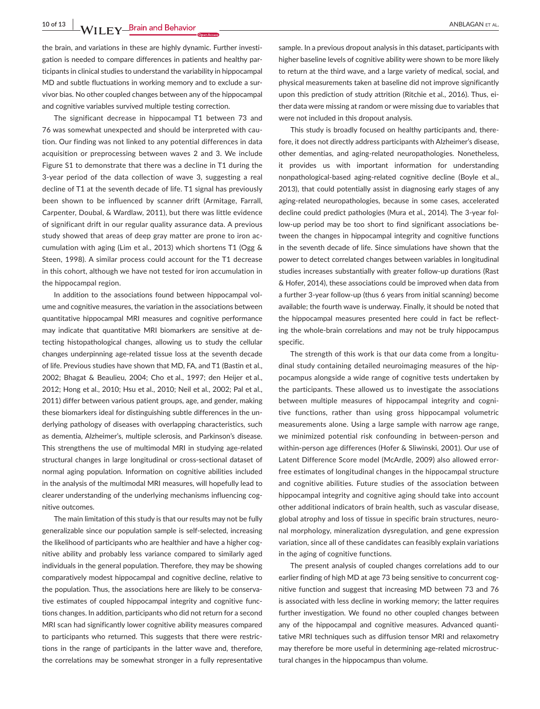**10 of 13 |**  ANBLAGAN et al.

the brain, and variations in these are highly dynamic. Further investigation is needed to compare differences in patients and healthy participants in clinical studies to understand the variability in hippocampal MD and subtle fluctuations in working memory and to exclude a survivor bias. No other coupled changes between any of the hippocampal and cognitive variables survived multiple testing correction.

The significant decrease in hippocampal T1 between 73 and 76 was somewhat unexpected and should be interpreted with caution. Our finding was not linked to any potential differences in data acquisition or preprocessing between waves 2 and 3. We include Figure S1 to demonstrate that there was a decline in T1 during the 3-year period of the data collection of wave 3, suggesting a real decline of T1 at the seventh decade of life. T1 signal has previously been shown to be influenced by scanner drift (Armitage, Farrall, Carpenter, Doubal, & Wardlaw, 2011), but there was little evidence of significant drift in our regular quality assurance data. A previous study showed that areas of deep gray matter are prone to iron accumulation with aging (Lim et al., 2013) which shortens T1 (Ogg & Steen, 1998). A similar process could account for the T1 decrease in this cohort, although we have not tested for iron accumulation in the hippocampal region.

In addition to the associations found between hippocampal volume and cognitive measures, the variation in the associations between quantitative hippocampal MRI measures and cognitive performance may indicate that quantitative MRI biomarkers are sensitive at detecting histopathological changes, allowing us to study the cellular changes underpinning age-related tissue loss at the seventh decade of life. Previous studies have shown that MD, FA, and T1 (Bastin et al., 2002; Bhagat & Beaulieu, 2004; Cho et al., 1997; den Heijer et al., 2012; Hong et al., 2010; Hsu et al., 2010; Neil et al., 2002; Pal et al., 2011) differ between various patient groups, age, and gender, making these biomarkers ideal for distinguishing subtle differences in the underlying pathology of diseases with overlapping characteristics, such as dementia, Alzheimer's, multiple sclerosis, and Parkinson's disease. This strengthens the use of multimodal MRI in studying age-related structural changes in large longitudinal or cross-sectional dataset of normal aging population. Information on cognitive abilities included in the analysis of the multimodal MRI measures, will hopefully lead to clearer understanding of the underlying mechanisms influencing cognitive outcomes.

The main limitation of this study is that our results may not be fully generalizable since our population sample is self-selected, increasing the likelihood of participants who are healthier and have a higher cognitive ability and probably less variance compared to similarly aged individuals in the general population. Therefore, they may be showing comparatively modest hippocampal and cognitive decline, relative to the population. Thus, the associations here are likely to be conservative estimates of coupled hippocampal integrity and cognitive functions changes. In addition, participants who did not return for a second MRI scan had significantly lower cognitive ability measures compared to participants who returned. This suggests that there were restrictions in the range of participants in the latter wave and, therefore, the correlations may be somewhat stronger in a fully representative

sample. In a previous dropout analysis in this dataset, participants with higher baseline levels of cognitive ability were shown to be more likely to return at the third wave, and a large variety of medical, social, and physical measurements taken at baseline did not improve significantly upon this prediction of study attrition (Ritchie et al., 2016). Thus, either data were missing at random or were missing due to variables that were not included in this dropout analysis.

This study is broadly focused on healthy participants and, therefore, it does not directly address participants with Alzheimer's disease, other dementias, and aging-related neuropathologies. Nonetheless, it provides us with important information for understanding nonpathological-based aging-related cognitive decline (Boyle et al., 2013), that could potentially assist in diagnosing early stages of any aging-related neuropathologies, because in some cases, accelerated decline could predict pathologies (Mura et al., 2014). The 3-year follow-up period may be too short to find significant associations between the changes in hippocampal integrity and cognitive functions in the seventh decade of life. Since simulations have shown that the power to detect correlated changes between variables in longitudinal studies increases substantially with greater follow-up durations (Rast & Hofer, 2014), these associations could be improved when data from a further 3-year follow-up (thus 6 years from initial scanning) become available; the fourth wave is underway. Finally, it should be noted that the hippocampal measures presented here could in fact be reflecting the whole-brain correlations and may not be truly hippocampus specific.

The strength of this work is that our data come from a longitudinal study containing detailed neuroimaging measures of the hippocampus alongside a wide range of cognitive tests undertaken by the participants. These allowed us to investigate the associations between multiple measures of hippocampal integrity and cognitive functions, rather than using gross hippocampal volumetric measurements alone. Using a large sample with narrow age range, we minimized potential risk confounding in between-person and within-person age differences (Hofer & Sliwinski, 2001). Our use of Latent Difference Score model (McArdle, 2009) also allowed errorfree estimates of longitudinal changes in the hippocampal structure and cognitive abilities. Future studies of the association between hippocampal integrity and cognitive aging should take into account other additional indicators of brain health, such as vascular disease, global atrophy and loss of tissue in specific brain structures, neuronal morphology, mineralization dysregulation, and gene expression variation, since all of these candidates can feasibly explain variations in the aging of cognitive functions.

The present analysis of coupled changes correlations add to our earlier finding of high MD at age 73 being sensitive to concurrent cognitive function and suggest that increasing MD between 73 and 76 is associated with less decline in working memory; the latter requires further investigation. We found no other coupled changes between any of the hippocampal and cognitive measures. Advanced quantitative MRI techniques such as diffusion tensor MRI and relaxometry may therefore be more useful in determining age-related microstructural changes in the hippocampus than volume.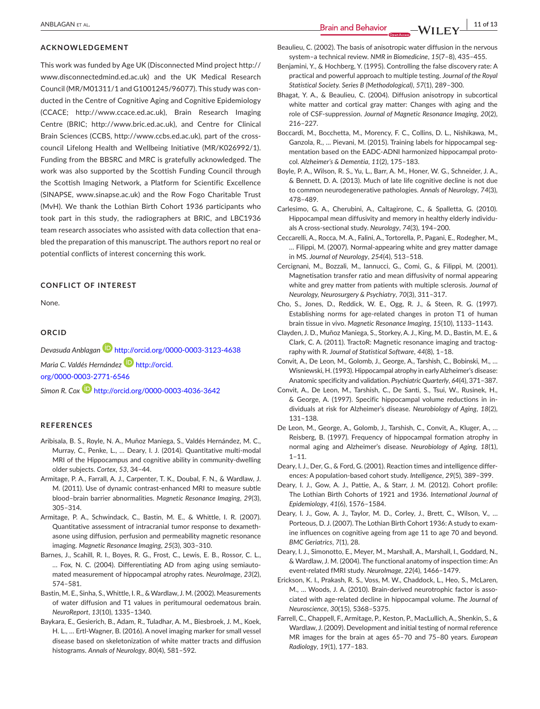#### **ACKNOWLEDGEMENT**

This work was funded by Age UK (Disconnected Mind project [http://](http://www.disconnectedmind.ed.ac.uk) [www.disconnectedmind.ed.ac.uk](http://www.disconnectedmind.ed.ac.uk)) and the UK Medical Research Council (MR/M01311/1 and G1001245/96077). This study was conducted in the Centre of Cognitive Aging and Cognitive Epidemiology (CCACE; <http://www.ccace.ed.ac.uk>), Brain Research Imaging Centre (BRIC; <http://www.bric.ed.ac.uk>), and Centre for Clinical Brain Sciences (CCBS, [http://www.ccbs.ed.ac.uk\)](http://www.ccbs.ed.ac.uk), part of the crosscouncil Lifelong Health and Wellbeing Initiative (MR/K026992/1). Funding from the BBSRC and MRC is gratefully acknowledged. The work was also supported by the Scottish Funding Council through the Scottish Imaging Network, a Platform for Scientific Excellence (SINAPSE, [www.sinapse.ac.uk](http://www.sinapse.ac.uk)) and the Row Fogo Charitable Trust (MvH). We thank the Lothian Birth Cohort 1936 participants who took part in this study, the radiographers at BRIC, and LBC1936 team research associates who assisted with data collection that enabled the preparation of this manuscript. The authors report no real or potential conflicts of interest concerning this work.

#### **CONFLICT OF INTEREST**

None.

#### **ORCID**

*Devasuda Anblagan* <http://orcid.org/0000-0003-3123-4638> *Maria C. Valdés Hernández* **D** [http://orcid.](http://orcid.org/0000-0003-2771-6546) [org/0000-0003-2771-6546](http://orcid.org/0000-0003-2771-6546) *Simon R. Cox* **<http://orcid.org/0000-0003-4036-3642>** 

#### **REFERENCES**

- Aribisala, B. S., Royle, N. A., Muñoz Maniega, S., Valdés Hernández, M. C., Murray, C., Penke, L., … Deary, I. J. (2014). Quantitative multi-modal MRI of the Hippocampus and cognitive ability in community-dwelling older subjects. *Cortex*, *53*, 34–44.
- Armitage, P. A., Farrall, A. J., Carpenter, T. K., Doubal, F. N., & Wardlaw, J. M. (2011). Use of dynamic contrast-enhanced MRI to measure subtle blood–brain barrier abnormalities. *Magnetic Resonance Imaging*, *29*(3), 305–314.
- Armitage, P. A., Schwindack, C., Bastin, M. E., & Whittle, I. R. (2007). Quantitative assessment of intracranial tumor response to dexamethasone using diffusion, perfusion and permeability magnetic resonance imaging. *Magnetic Resonance Imaging*, *25*(3), 303–310.
- Barnes, J., Scahill, R. I., Boyes, R. G., Frost, C., Lewis, E. B., Rossor, C. L., … Fox, N. C. (2004). Differentiating AD from aging using semiautomated measurement of hippocampal atrophy rates. *NeuroImage*, *23*(2), 574–581.
- Bastin, M. E., Sinha, S., Whittle, I. R., & Wardlaw, J. M. (2002). Measurements of water diffusion and T1 values in peritumoural oedematous brain. *NeuroReport*, *13*(10), 1335–1340.
- Baykara, E., Gesierich, B., Adam, R., Tuladhar, A. M., Biesbroek, J. M., Koek, H. L., … Ertl-Wagner, B. (2016). A novel imaging marker for small vessel disease based on skeletonization of white matter tracts and diffusion histograms. *Annals of Neurology*, *80*(4), 581–592.

Beaulieu, C. (2002). The basis of anisotropic water diffusion in the nervous system–a technical review. *NMR in Biomedicine*, *15*(7–8), 435–455.

- Benjamini, Y., & Hochberg, Y. (1995). Controlling the false discovery rate: A practical and powerful approach to multiple testing. *Journal of the Royal Statistical Society. Series B (Methodological)*, *57*(1), 289–300.
- Bhagat, Y. A., & Beaulieu, C. (2004). Diffusion anisotropy in subcortical white matter and cortical gray matter: Changes with aging and the role of CSF-suppression. *Journal of Magnetic Resonance Imaging*, *20*(2), 216–227.
- Boccardi, M., Bocchetta, M., Morency, F. C., Collins, D. L., Nishikawa, M., Ganzola, R., … Pievani, M. (2015). Training labels for hippocampal segmentation based on the EADC-ADNI harmonized hippocampal protocol. *Alzheimer's & Dementia*, *11*(2), 175–183.
- Boyle, P. A., Wilson, R. S., Yu, L., Barr, A. M., Honer, W. G., Schneider, J. A., & Bennett, D. A. (2013). Much of late life cognitive decline is not due to common neurodegenerative pathologies. *Annals of Neurology*, *74*(3), 478–489.
- Carlesimo, G. A., Cherubini, A., Caltagirone, C., & Spalletta, G. (2010). Hippocampal mean diffusivity and memory in healthy elderly individuals A cross-sectional study. *Neurology*, *74*(3), 194–200.
- Ceccarelli, A., Rocca, M. A., Falini, A., Tortorella, P., Pagani, E., Rodegher, M., … Filippi, M. (2007). Normal-appearing white and grey matter damage in MS. *Journal of Neurology*, *254*(4), 513–518.
- Cercignani, M., Bozzali, M., Iannucci, G., Comi, G., & Filippi, M. (2001). Magnetisation transfer ratio and mean diffusivity of normal appearing white and grey matter from patients with multiple sclerosis. *Journal of Neurology, Neurosurgery & Psychiatry*, *70*(3), 311–317.
- Cho, S., Jones, D., Reddick, W. E., Ogg, R. J., & Steen, R. G. (1997). Establishing norms for age-related changes in proton T1 of human brain tissue in vivo. *Magnetic Resonance Imaging*, *15*(10), 1133–1143.
- Clayden, J. D., Muñoz Maniega, S., Storkey, A. J., King, M. D., Bastin, M. E., & Clark, C. A. (2011). TractoR: Magnetic resonance imaging and tractography with R. *Journal of Statistical Software*, *44*(8), 1–18.
- Convit, A., De Leon, M., Golomb, J., George, A., Tarshish, C., Bobinski, M., … Wisniewski, H. (1993). Hippocampal atrophy in earlyAlzheimer's disease: Anatomic specificity and validation. *Psychiatric Quarterly*, *64*(4), 371–387.
- Convit, A., De Leon, M., Tarshish, C., De Santi, S., Tsui, W., Rusinek, H., & George, A. (1997). Specific hippocampal volume reductions in individuals at risk for Alzheimer's disease. *Neurobiology of Aging*, *18*(2), 131–138.
- De Leon, M., George, A., Golomb, J., Tarshish, C., Convit, A., Kluger, A., … Reisberg, B. (1997). Frequency of hippocampal formation atrophy in normal aging and Alzheimer's disease. *Neurobiology of Aging*, *18*(1),  $1 - 11$ .
- Deary, I. J., Der, G., & Ford, G. (2001). Reaction times and intelligence differences: A population-based cohort study. *Intelligence*, *29*(5), 389–399.
- Deary, I. J., Gow, A. J., Pattie, A., & Starr, J. M. (2012). Cohort profile: The Lothian Birth Cohorts of 1921 and 1936. *International Journal of Epidemiology*, *41*(6), 1576–1584.
- Deary, I. J., Gow, A. J., Taylor, M. D., Corley, J., Brett, C., Wilson, V., … Porteous, D. J. (2007). The Lothian Birth Cohort 1936: A study to examine influences on cognitive ageing from age 11 to age 70 and beyond. *BMC Geriatrics*, *7*(1), 28.
- Deary, I. J., Simonotto, E., Meyer, M., Marshall, A., Marshall, I., Goddard, N., & Wardlaw, J. M. (2004). The functional anatomy of inspection time: An event-related fMRI study. *NeuroImage*, *22*(4), 1466–1479.
- Erickson, K. I., Prakash, R. S., Voss, M. W., Chaddock, L., Heo, S., McLaren, M., … Woods, J. A. (2010). Brain-derived neurotrophic factor is associated with age-related decline in hippocampal volume. *The Journal of Neuroscience*, *30*(15), 5368–5375.
- Farrell, C., Chappell, F., Armitage, P., Keston, P., MacLullich, A., Shenkin, S., & Wardlaw, J. (2009). Development and initial testing of normal reference MR images for the brain at ages 65–70 and 75–80 years. *European Radiology*, *19*(1), 177–183.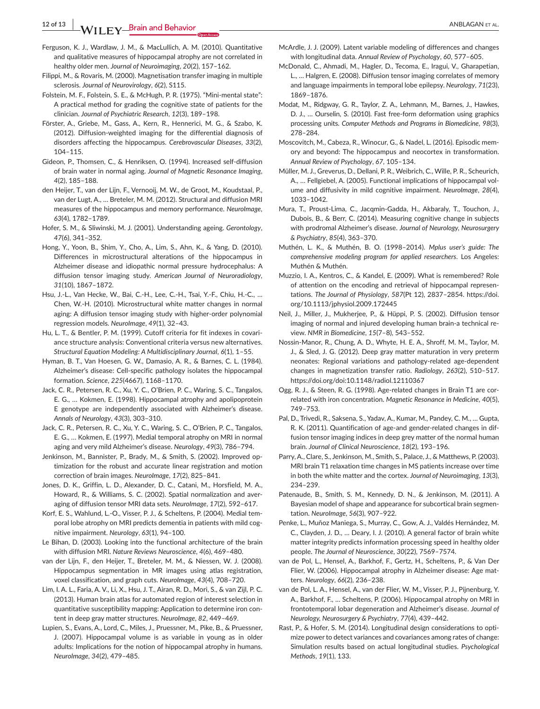**12 of 13 WILEY Brain and Behavior** *CONSTRAL* **<b>ANBLAGAN ET AL.** 

- Ferguson, K. J., Wardlaw, J. M., & MacLullich, A. M. (2010). Quantitative and qualitative measures of hippocampal atrophy are not correlated in healthy older men. *Journal of Neuroimaging*, *20*(2), 157–162.
- Filippi, M., & Rovaris, M. (2000). Magnetisation transfer imaging in multiple sclerosis. *Journal of Neurovirology*, *6*(2), S115.
- Folstein, M. F., Folstein, S. E., & McHugh, P. R. (1975). "Mini-mental state": A practical method for grading the cognitive state of patients for the clinician. *Journal of Psychiatric Research*, *12*(3), 189–198.
- Förster, A., Griebe, M., Gass, A., Kern, R., Hennerici, M. G., & Szabo, K. (2012). Diffusion-weighted imaging for the differential diagnosis of disorders affecting the hippocampus. *Cerebrovascular Diseases*, *33*(2), 104–115.
- Gideon, P., Thomsen, C., & Henriksen, O. (1994). Increased self-diffusion of brain water in normal aging. *Journal of Magnetic Resonance Imaging*, *4*(2), 185–188.
- den Heijer, T., van der Lijn, F., Vernooij, M. W., de Groot, M., Koudstaal, P., van der Lugt, A., … Breteler, M. M. (2012). Structural and diffusion MRI measures of the hippocampus and memory performance. *NeuroImage*, *63*(4), 1782–1789.
- Hofer, S. M., & Sliwinski, M. J. (2001). Understanding ageing. *Gerontology*, *47*(6), 341–352.
- Hong, Y., Yoon, B., Shim, Y., Cho, A., Lim, S., Ahn, K., & Yang, D. (2010). Differences in microstructural alterations of the hippocampus in Alzheimer disease and idiopathic normal pressure hydrocephalus: A diffusion tensor imaging study. *American Journal of Neuroradiology*, *31*(10), 1867–1872.
- Hsu, J.-L., Van Hecke, W., Bai, C.-H., Lee, C.-H., Tsai, Y.-F., Chiu, H.-C., … Chen, W.-H. (2010). Microstructural white matter changes in normal aging: A diffusion tensor imaging study with higher-order polynomial regression models. *NeuroImage*, *49*(1), 32–43.
- Hu, L. T., & Bentler, P. M. (1999). Cutoff criteria for fit indexes in covariance structure analysis: Conventional criteria versus new alternatives. *Structural Equation Modeling: A Multidisciplinary Journal*, *6*(1), 1–55.
- Hyman, B. T., Van Hoesen, G. W., Damasio, A. R., & Barnes, C. L. (1984). Alzheimer's disease: Cell-specific pathology isolates the hippocampal formation. *Science*, *225*(4667), 1168–1170.
- Jack, C. R., Petersen, R. C., Xu, Y. C., O'Brien, P. C., Waring, S. C., Tangalos, E. G., … Kokmen, E. (1998). Hippocampal atrophy and apolipoprotein E genotype are independently associated with Alzheimer's disease. *Annals of Neurology*, *43*(3), 303–310.
- Jack, C. R., Petersen, R. C., Xu, Y. C., Waring, S. C., O'Brien, P. C., Tangalos, E. G., … Kokmen, E. (1997). Medial temporal atrophy on MRI in normal aging and very mild Alzheimer's disease. *Neurology*, *49*(3), 786–794.
- Jenkinson, M., Bannister, P., Brady, M., & Smith, S. (2002). Improved optimization for the robust and accurate linear registration and motion correction of brain images. *NeuroImage*, *17*(2), 825–841.
- Jones, D. K., Griffin, L. D., Alexander, D. C., Catani, M., Horsfield, M. A., Howard, R., & Williams, S. C. (2002). Spatial normalization and averaging of diffusion tensor MRI data sets. *NeuroImage*, *17*(2), 592–617.
- Korf, E. S., Wahlund, L.-O., Visser, P. J., & Scheltens, P. (2004). Medial temporal lobe atrophy on MRI predicts dementia in patients with mild cognitive impairment. *Neurology*, *63*(1), 94–100.
- Le Bihan, D. (2003). Looking into the functional architecture of the brain with diffusion MRI. *Nature Reviews Neuroscience*, *4*(6), 469–480.
- van der Lijn, F., den Heijer, T., Breteler, M. M., & Niessen, W. J. (2008). Hippocampus segmentation in MR images using atlas registration, voxel classification, and graph cuts. *NeuroImage*, *43*(4), 708–720.
- Lim, I. A. L., Faria, A. V., Li, X., Hsu, J. T., Airan, R. D., Mori, S., & van Zijl, P. C. (2013). Human brain atlas for automated region of interest selection in quantitative susceptibility mapping: Application to determine iron content in deep gray matter structures. *NeuroImage*, *82*, 449–469.
- Lupien, S., Evans, A., Lord, C., Miles, J., Pruessner, M., Pike, B., & Pruessner, J. (2007). Hippocampal volume is as variable in young as in older adults: Implications for the notion of hippocampal atrophy in humans. *NeuroImage*, *34*(2), 479–485.
- McArdle, J. J. (2009). Latent variable modeling of differences and changes with longitudinal data. *Annual Review of Psychology*, *60*, 577–605.
- McDonald, C., Ahmadi, M., Hagler, D., Tecoma, E., Iragui, V., Gharapetian, L., … Halgren, E. (2008). Diffusion tensor imaging correlates of memory and language impairments in temporal lobe epilepsy. *Neurology*, *71*(23), 1869–1876.
- Modat, M., Ridgway, G. R., Taylor, Z. A., Lehmann, M., Barnes, J., Hawkes, D. J., … Ourselin, S. (2010). Fast free-form deformation using graphics processing units. *Computer Methods and Programs in Biomedicine*, *98*(3), 278–284.
- Moscovitch, M., Cabeza, R., Winocur, G., & Nadel, L. (2016). Episodic memory and beyond: The hippocampus and neocortex in transformation. *Annual Review of Psychology*, *67*, 105–134.
- Müller, M. J., Greverus, D., Dellani, P. R., Weibrich, C., Wille, P. R., Scheurich, A., … Fellgiebel, A. (2005). Functional implications of hippocampal volume and diffusivity in mild cognitive impairment. *NeuroImage*, *28*(4), 1033–1042.
- Mura, T., Proust-Lima, C., Jacqmin-Gadda, H., Akbaraly, T., Touchon, J., Dubois, B., & Berr, C. (2014). Measuring cognitive change in subjects with prodromal Alzheimer's disease. *Journal of Neurology, Neurosurgery & Psychiatry*, *85*(4), 363–370.
- Muthén, L. K., & Muthén, B. O. (1998–2014). *Mplus user's guide: The comprehensive modeling program for applied researchers*. Los Angeles: Muthén & Muthén.
- Muzzio, I. A., Kentros, C., & Kandel, E. (2009). What is remembered? Role of attention on the encoding and retrieval of hippocampal representations. *The Journal of Physiology*, *587*(Pt 12), 2837–2854. [https://doi.](https://doi.org/10.1113/jphysiol.2009.172445) [org/10.1113/jphysiol.2009.172445](https://doi.org/10.1113/jphysiol.2009.172445)
- Neil, J., Miller, J., Mukherjee, P., & Hüppi, P. S. (2002). Diffusion tensor imaging of normal and injured developing human brain-a technical review. *NMR in Biomedicine*, *15*(7–8), 543–552.
- Nossin-Manor, R., Chung, A. D., Whyte, H. E. A., Shroff, M. M., Taylor, M. J., & Sled, J. G. (2012). Deep gray matter maturation in very preterm neonates: Regional variations and pathology-related age-dependent changes in magnetization transfer ratio. *Radiology*, *263*(2), 510–517. <https://doi.org/doi:10.1148/radiol.12110367>
- Ogg, R. J., & Steen, R. G. (1998). Age-related changes in Brain T1 are correlated with iron concentration. *Magnetic Resonance in Medicine*, *40*(5), 749–753.
- Pal, D., Trivedi, R., Saksena, S., Yadav, A., Kumar, M., Pandey, C. M., … Gupta, R. K. (2011). Quantification of age-and gender-related changes in diffusion tensor imaging indices in deep grey matter of the normal human brain. *Journal of Clinical Neuroscience*, *18*(2), 193–196.
- Parry, A., Clare, S., Jenkinson, M., Smith, S., Palace, J., & Matthews, P. (2003). MRI brain T1 relaxation time changes in MS patients increase over time in both the white matter and the cortex. *Journal of Neuroimaging*, *13*(3), 234–239.
- Patenaude, B., Smith, S. M., Kennedy, D. N., & Jenkinson, M. (2011). A Bayesian model of shape and appearance for subcortical brain segmentation. *NeuroImage*, *56*(3), 907–922.
- Penke, L., Muñoz Maniega, S., Murray, C., Gow, A. J., Valdés Hernández, M. C., Clayden, J. D., … Deary, I. J. (2010). A general factor of brain white matter integrity predicts information processing speed in healthy older people. *The Journal of Neuroscience*, *30*(22), 7569–7574.
- van de Pol, L., Hensel, A., Barkhof, F., Gertz, H., Scheltens, P., & Van Der Flier, W. (2006). Hippocampal atrophy in Alzheimer disease: Age matters. *Neurology*, *66*(2), 236–238.
- van de Pol, L. A., Hensel, A., van der Flier, W. M., Visser, P. J., Pijnenburg, Y. A., Barkhof, F., … Scheltens, P. (2006). Hippocampal atrophy on MRI in frontotemporal lobar degeneration and Alzheimer's disease. *Journal of Neurology, Neurosurgery & Psychiatry*, *77*(4), 439–442.
- Rast, P., & Hofer, S. M. (2014). Longitudinal design considerations to optimize power to detect variances and covariances among rates of change: Simulation results based on actual longitudinal studies. *Psychological Methods*, *19*(1), 133.